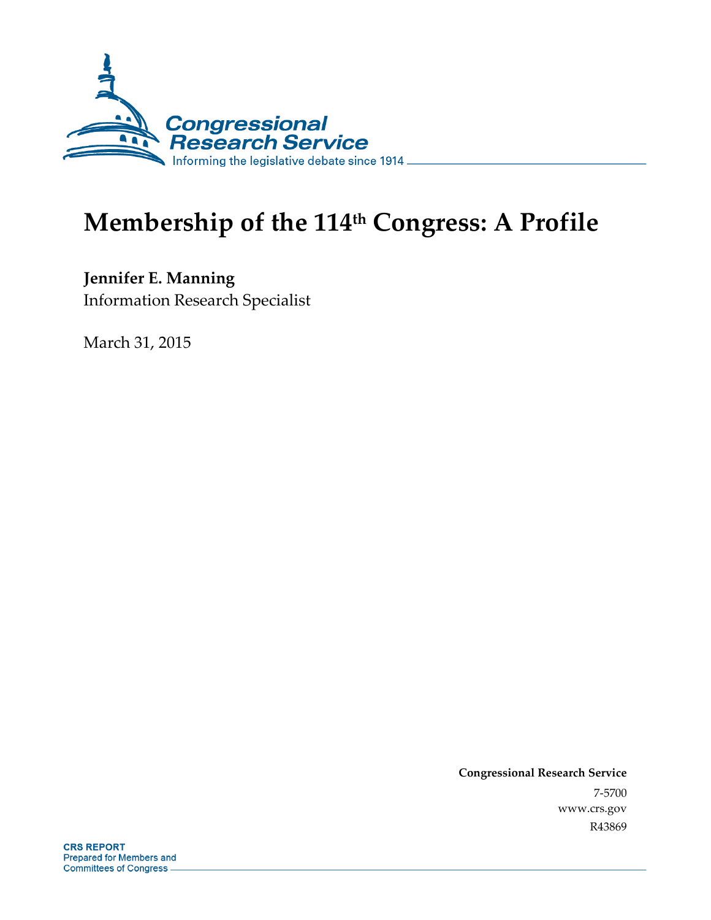

# **Membership of the 114th Congress: A Profile**

**Jennifer E. Manning**  Information Research Specialist

March 31, 2015

**Congressional Research Service**  7-5700 www.crs.gov R43869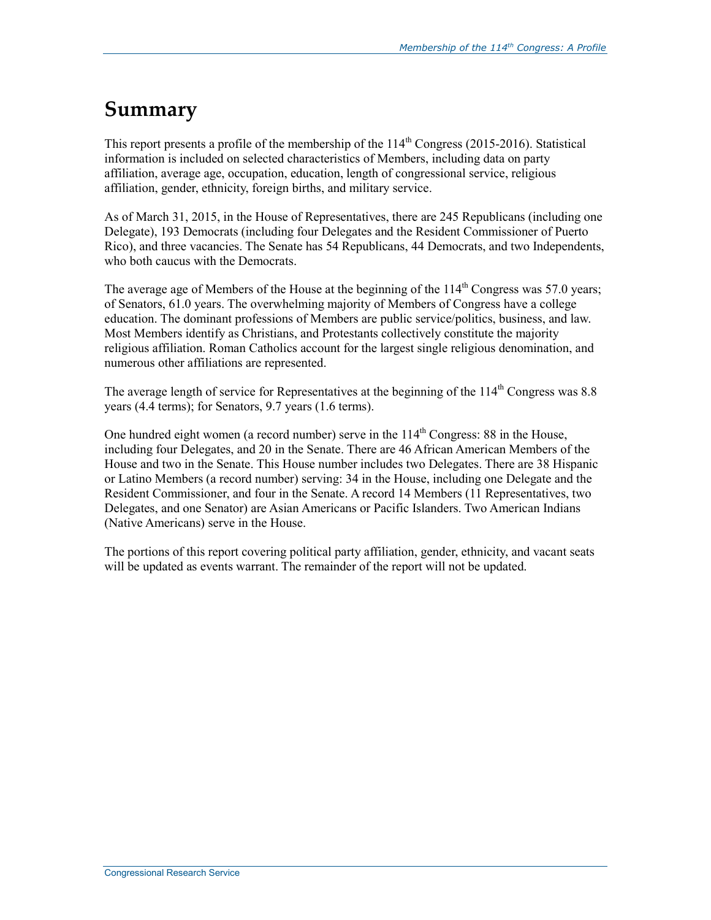## **Summary**

This report presents a profile of the membership of the  $114<sup>th</sup>$  Congress (2015-2016). Statistical information is included on selected characteristics of Members, including data on party affiliation, average age, occupation, education, length of congressional service, religious affiliation, gender, ethnicity, foreign births, and military service.

As of March 31, 2015, in the House of Representatives, there are 245 Republicans (including one Delegate), 193 Democrats (including four Delegates and the Resident Commissioner of Puerto Rico), and three vacancies. The Senate has 54 Republicans, 44 Democrats, and two Independents, who both caucus with the Democrats.

The average age of Members of the House at the beginning of the  $114<sup>th</sup>$  Congress was 57.0 years; of Senators, 61.0 years. The overwhelming majority of Members of Congress have a college education. The dominant professions of Members are public service/politics, business, and law. Most Members identify as Christians, and Protestants collectively constitute the majority religious affiliation. Roman Catholics account for the largest single religious denomination, and numerous other affiliations are represented.

The average length of service for Representatives at the beginning of the  $114<sup>th</sup>$  Congress was 8.8 years (4.4 terms); for Senators, 9.7 years (1.6 terms).

One hundred eight women (a record number) serve in the  $114<sup>th</sup>$  Congress: 88 in the House, including four Delegates, and 20 in the Senate. There are 46 African American Members of the House and two in the Senate. This House number includes two Delegates. There are 38 Hispanic or Latino Members (a record number) serving: 34 in the House, including one Delegate and the Resident Commissioner, and four in the Senate. A record 14 Members (11 Representatives, two Delegates, and one Senator) are Asian Americans or Pacific Islanders. Two American Indians (Native Americans) serve in the House.

The portions of this report covering political party affiliation, gender, ethnicity, and vacant seats will be updated as events warrant. The remainder of the report will not be updated.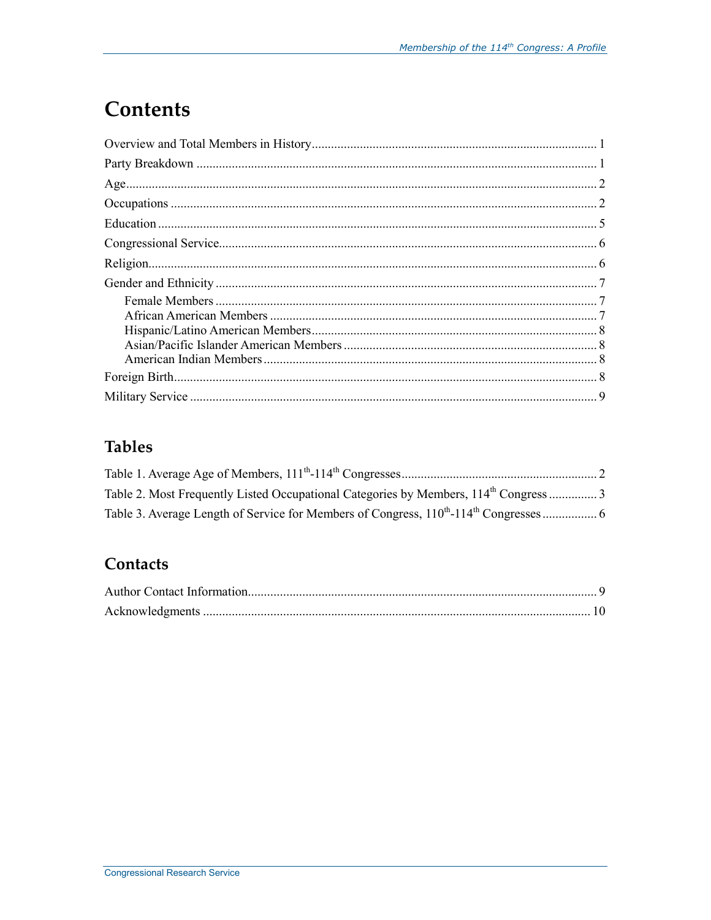# **Contents**

## **Tables**

### Contacts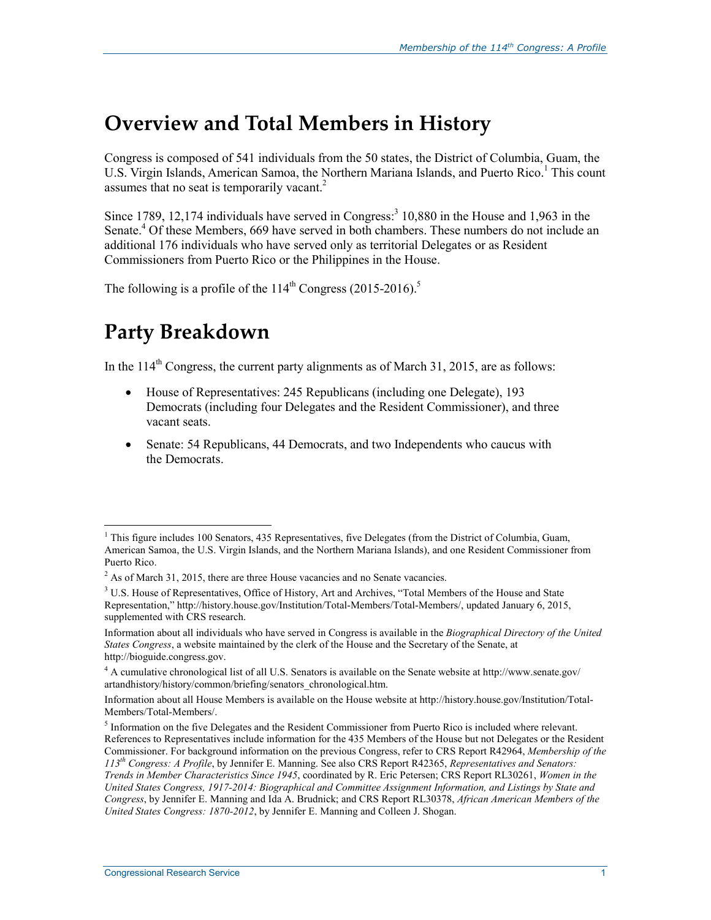## **Overview and Total Members in History**

Congress is composed of 541 individuals from the 50 states, the District of Columbia, Guam, the U.S. Virgin Islands, American Samoa, the Northern Mariana Islands, and Puerto Rico.<sup>1</sup> This count assumes that no seat is temporarily vacant. $2$ 

Since 1789, 12,174 individuals have served in Congress:<sup>3</sup> 10,880 in the House and 1,963 in the Senate.<sup>4</sup> Of these Members, 669 have served in both chambers. These numbers do not include an additional 176 individuals who have served only as territorial Delegates or as Resident Commissioners from Puerto Rico or the Philippines in the House.

The following is a profile of the  $114<sup>th</sup>$  Congress (2015-2016).<sup>5</sup>

## **Party Breakdown**

In the  $114<sup>th</sup>$  Congress, the current party alignments as of March 31, 2015, are as follows:

- House of Representatives: 245 Republicans (including one Delegate), 193 Democrats (including four Delegates and the Resident Commissioner), and three vacant seats.
- Senate: 54 Republicans, 44 Democrats, and two Independents who caucus with the Democrats.

<sup>1</sup> <sup>1</sup> This figure includes 100 Senators, 435 Representatives, five Delegates (from the District of Columbia, Guam, American Samoa, the U.S. Virgin Islands, and the Northern Mariana Islands), and one Resident Commissioner from Puerto Rico.

 $2^{2}$  As of March 31, 2015, there are three House vacancies and no Senate vacancies.

<sup>&</sup>lt;sup>3</sup> U.S. House of Representatives, Office of History, Art and Archives, "Total Members of the House and State Representation," http://history.house.gov/Institution/Total-Members/Total-Members/, updated January 6, 2015, supplemented with CRS research.

Information about all individuals who have served in Congress is available in the *Biographical Directory of the United States Congress*, a website maintained by the clerk of the House and the Secretary of the Senate, at http://bioguide.congress.gov.

<sup>4</sup> A cumulative chronological list of all U.S. Senators is available on the Senate website at http://www.senate.gov/ artandhistory/history/common/briefing/senators\_chronological.htm.

Information about all House Members is available on the House website at http://history.house.gov/Institution/Total-Members/Total-Members/.

<sup>&</sup>lt;sup>5</sup> Information on the five Delegates and the Resident Commissioner from Puerto Rico is included where relevant. References to Representatives include information for the 435 Members of the House but not Delegates or the Resident Commissioner. For background information on the previous Congress, refer to CRS Report R42964, *Membership of the 113th Congress: A Profile*, by Jennifer E. Manning. See also CRS Report R42365, *Representatives and Senators: Trends in Member Characteristics Since 1945*, coordinated by R. Eric Petersen; CRS Report RL30261, *Women in the United States Congress, 1917-2014: Biographical and Committee Assignment Information, and Listings by State and Congress*, by Jennifer E. Manning and Ida A. Brudnick; and CRS Report RL30378, *African American Members of the United States Congress: 1870-2012*, by Jennifer E. Manning and Colleen J. Shogan.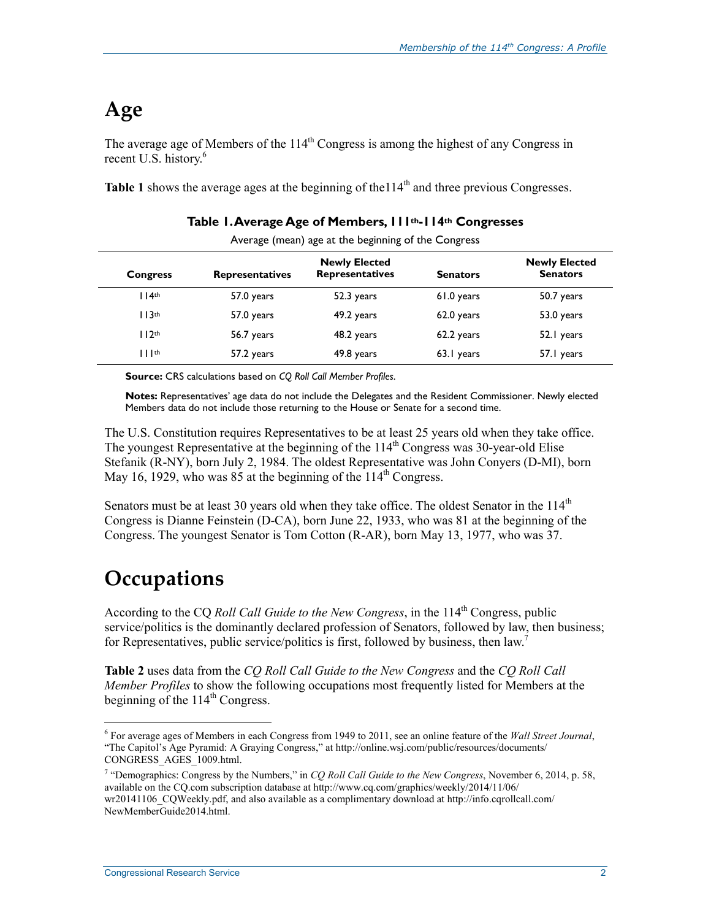# **Age**

The average age of Members of the  $114<sup>th</sup>$  Congress is among the highest of any Congress in recent U.S. history.<sup>6</sup>

Table 1 shows the average ages at the beginning of the 114<sup>th</sup> and three previous Congresses.

| Average (mean) age at the beginning of the Congress |                        |                                                |                 |                                         |  |
|-----------------------------------------------------|------------------------|------------------------------------------------|-----------------|-----------------------------------------|--|
| <b>Congress</b>                                     | <b>Representatives</b> | <b>Newly Elected</b><br><b>Representatives</b> | <b>Senators</b> | <b>Newly Elected</b><br><b>Senators</b> |  |
| 114 <sup>th</sup>                                   | 57.0 years             | 52.3 years                                     | 61.0 years      | 50.7 years                              |  |
| 113 <sup>th</sup>                                   | 57.0 years             | 49.2 years                                     | 62.0 years      | 53.0 years                              |  |
| 112 <sup>th</sup>                                   | 56.7 years             | 48.2 years                                     | 62.2 years      | 52.1 years                              |  |
| $    $ th                                           | 57.2 years             | 49.8 years                                     | 63.1 years      | 57.1 years                              |  |

#### **Table 1. Average Age of Members, 111th-114th Congresses**

**Source:** CRS calculations based on *CQ Roll Call Member Profiles*.

**Notes:** Representatives' age data do not include the Delegates and the Resident Commissioner. Newly elected Members data do not include those returning to the House or Senate for a second time.

The U.S. Constitution requires Representatives to be at least 25 years old when they take office. The youngest Representative at the beginning of the  $114<sup>th</sup>$  Congress was 30-year-old Elise Stefanik (R-NY), born July 2, 1984. The oldest Representative was John Conyers (D-MI), born May 16, 1929, who was 85 at the beginning of the  $114<sup>th</sup>$  Congress.

Senators must be at least 30 years old when they take office. The oldest Senator in the  $114<sup>th</sup>$ Congress is Dianne Feinstein (D-CA), born June 22, 1933, who was 81 at the beginning of the Congress. The youngest Senator is Tom Cotton (R-AR), born May 13, 1977, who was 37.

## **Occupations**

1

According to the CQ *Roll Call Guide to the New Congress*, in the 114<sup>th</sup> Congress, public service/politics is the dominantly declared profession of Senators, followed by law, then business; for Representatives, public service/politics is first, followed by business, then  $law$ .<sup>7</sup>

**Table 2** uses data from the *CQ Roll Call Guide to the New Congress* and the *CQ Roll Call Member Profiles* to show the following occupations most frequently listed for Members at the beginning of the  $114<sup>th</sup>$  Congress.

<sup>6</sup> For average ages of Members in each Congress from 1949 to 2011, see an online feature of the *Wall Street Journal*, "The Capitol's Age Pyramid: A Graying Congress," at http://online.wsj.com/public/resources/documents/ CONGRESS\_AGES\_1009.html.

<sup>&</sup>lt;sup>7</sup> "Demographics: Congress by the Numbers," in *CQ Roll Call Guide to the New Congress*, November 6, 2014, p. 58, available on the CQ.com subscription database at http://www.cq.com/graphics/weekly/2014/11/06/ wr20141106 CQWeekly.pdf, and also available as a complimentary download at http://info.cqrollcall.com/ NewMemberGuide2014.html.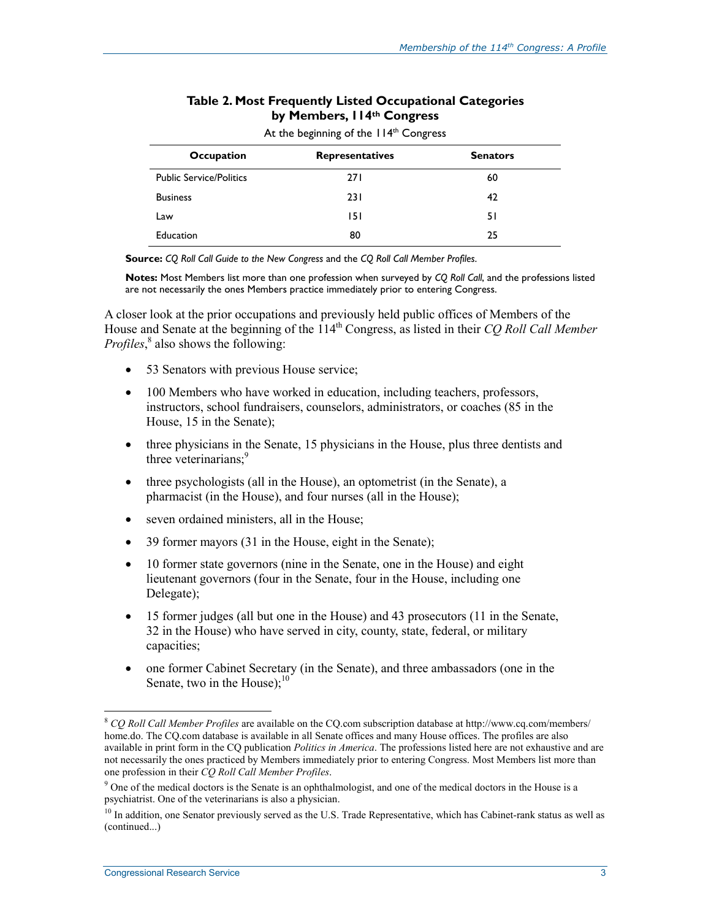#### **Table 2. Most Frequently Listed Occupational Categories by Members, 114th Congress**

| Occupation                     | <b>Representatives</b> | <b>Senators</b> |
|--------------------------------|------------------------|-----------------|
| <b>Public Service/Politics</b> | <b>271</b>             | 60              |
| <b>Business</b>                | 231                    | 42              |
| Law                            | 151                    | 51              |
| Education                      | 80                     | 25              |

At the beginning of the 114<sup>th</sup> Congress

**Source:** *CQ Roll Call Guide to the New Congress* and the *CQ Roll Call Member Profiles*.

**Notes:** Most Members list more than one profession when surveyed by *CQ Roll Call*, and the professions listed are not necessarily the ones Members practice immediately prior to entering Congress.

A closer look at the prior occupations and previously held public offices of Members of the House and Senate at the beginning of the 114<sup>th</sup> Congress, as listed in their *CQ Roll Call Member* Profiles,<sup>8</sup> also shows the following:

- 53 Senators with previous House service;
- 100 Members who have worked in education, including teachers, professors, instructors, school fundraisers, counselors, administrators, or coaches (85 in the House, 15 in the Senate);
- three physicians in the Senate, 15 physicians in the House, plus three dentists and three veterinarians;<sup>9</sup>
- three psychologists (all in the House), an optometrist (in the Senate), a pharmacist (in the House), and four nurses (all in the House);
- seven ordained ministers, all in the House;
- 39 former mayors (31 in the House, eight in the Senate);
- 10 former state governors (nine in the Senate, one in the House) and eight lieutenant governors (four in the Senate, four in the House, including one Delegate);
- 15 former judges (all but one in the House) and 43 prosecutors (11 in the Senate, 32 in the House) who have served in city, county, state, federal, or military capacities;
- one former Cabinet Secretary (in the Senate), and three ambassadors (one in the Senate, two in the House); $^{10}$

<sup>8</sup> *CQ Roll Call Member Profiles* are available on the CQ.com subscription database at http://www.cq.com/members/ home.do. The CQ.com database is available in all Senate offices and many House offices. The profiles are also available in print form in the CQ publication *Politics in America*. The professions listed here are not exhaustive and are not necessarily the ones practiced by Members immediately prior to entering Congress. Most Members list more than one profession in their *CQ Roll Call Member Profiles*.

<sup>&</sup>lt;sup>9</sup> One of the medical doctors is the Senate is an ophthalmologist, and one of the medical doctors in the House is a psychiatrist. One of the veterinarians is also a physician.

 $10$  In addition, one Senator previously served as the U.S. Trade Representative, which has Cabinet-rank status as well as (continued...)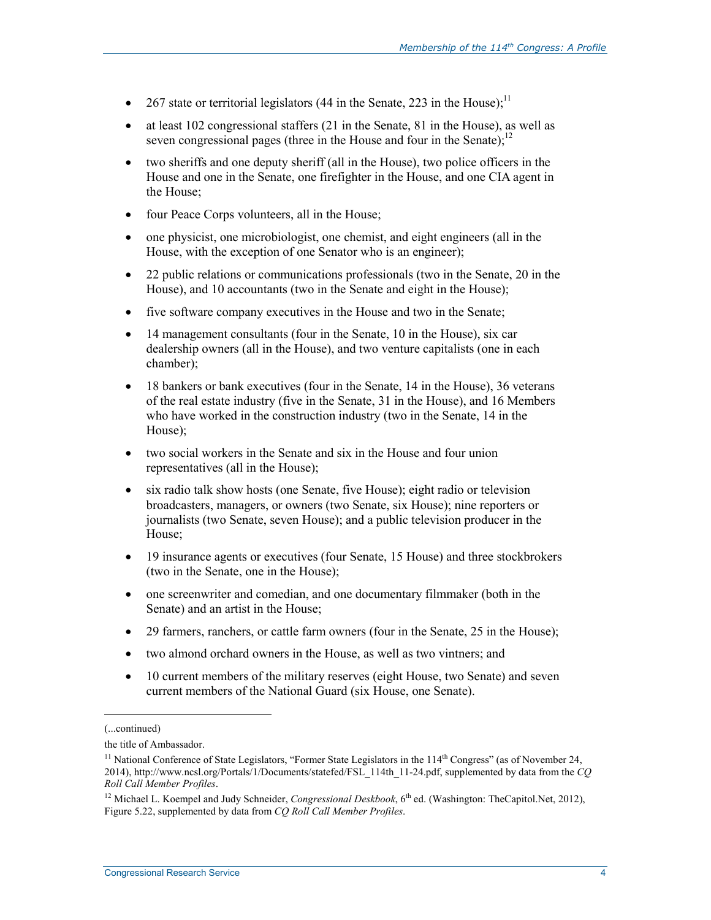- 267 state or territorial legislators (44 in the Senate, 223 in the House);<sup>11</sup>
- at least 102 congressional staffers (21 in the Senate, 81 in the House), as well as seven congressional pages (three in the House and four in the Senate); $^{12}$
- two sheriffs and one deputy sheriff (all in the House), two police officers in the House and one in the Senate, one firefighter in the House, and one CIA agent in the House;
- four Peace Corps volunteers, all in the House;
- one physicist, one microbiologist, one chemist, and eight engineers (all in the House, with the exception of one Senator who is an engineer);
- 22 public relations or communications professionals (two in the Senate, 20 in the House), and 10 accountants (two in the Senate and eight in the House);
- five software company executives in the House and two in the Senate;
- 14 management consultants (four in the Senate, 10 in the House), six car dealership owners (all in the House), and two venture capitalists (one in each chamber);
- 18 bankers or bank executives (four in the Senate, 14 in the House), 36 veterans of the real estate industry (five in the Senate, 31 in the House), and 16 Members who have worked in the construction industry (two in the Senate, 14 in the House);
- two social workers in the Senate and six in the House and four union representatives (all in the House);
- six radio talk show hosts (one Senate, five House); eight radio or television broadcasters, managers, or owners (two Senate, six House); nine reporters or journalists (two Senate, seven House); and a public television producer in the House;
- 19 insurance agents or executives (four Senate, 15 House) and three stockbrokers (two in the Senate, one in the House);
- one screenwriter and comedian, and one documentary filmmaker (both in the Senate) and an artist in the House;
- 29 farmers, ranchers, or cattle farm owners (four in the Senate, 25 in the House);
- two almond orchard owners in the House, as well as two vintners; and
- 10 current members of the military reserves (eight House, two Senate) and seven current members of the National Guard (six House, one Senate).

<sup>(...</sup>continued)

the title of Ambassador.

<sup>&</sup>lt;sup>11</sup> National Conference of State Legislators, "Former State Legislators in the  $114<sup>th</sup>$  Congress" (as of November 24, 2014), http://www.ncsl.org/Portals/1/Documents/statefed/FSL\_114th\_11-24.pdf, supplemented by data from the *CQ Roll Call Member Profiles*.

<sup>&</sup>lt;sup>12</sup> Michael L. Koempel and Judy Schneider, *Congressional Deskbook*, 6<sup>th</sup> ed. (Washington: TheCapitol.Net, 2012), Figure 5.22, supplemented by data from *CQ Roll Call Member Profiles*.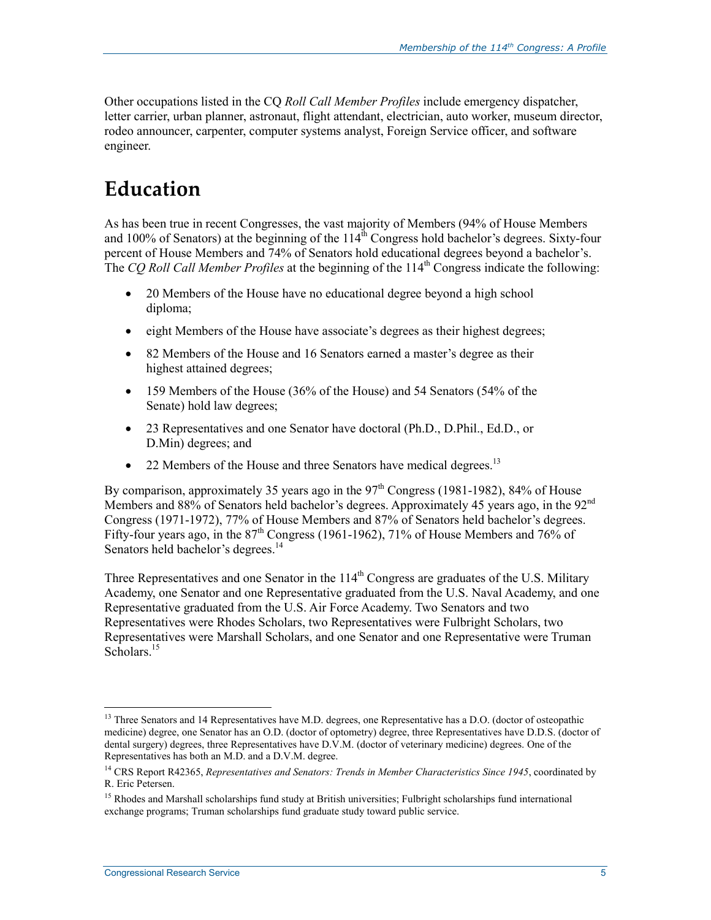Other occupations listed in the CQ *Roll Call Member Profiles* include emergency dispatcher, letter carrier, urban planner, astronaut, flight attendant, electrician, auto worker, museum director, rodeo announcer, carpenter, computer systems analyst, Foreign Service officer, and software engineer.

# **Education**

As has been true in recent Congresses, the vast majority of Members (94% of House Members and 100% of Senators) at the beginning of the  $114^{\text{th}}$  Congress hold bachelor's degrees. Sixty-four percent of House Members and 74% of Senators hold educational degrees beyond a bachelor's. The *CQ Roll Call Member Profiles* at the beginning of the 114<sup>th</sup> Congress indicate the following:

- 20 Members of the House have no educational degree beyond a high school diploma;
- eight Members of the House have associate's degrees as their highest degrees;
- 82 Members of the House and 16 Senators earned a master's degree as their highest attained degrees;
- 159 Members of the House (36% of the House) and 54 Senators (54% of the Senate) hold law degrees;
- 23 Representatives and one Senator have doctoral (Ph.D., D.Phil., Ed.D., or D.Min) degrees; and
- 22 Members of the House and three Senators have medical degrees.<sup>13</sup>

By comparison, approximately 35 years ago in the  $97<sup>th</sup>$  Congress (1981-1982), 84% of House Members and 88% of Senators held bachelor's degrees. Approximately 45 years ago, in the 92<sup>nd</sup> Congress (1971-1972), 77% of House Members and 87% of Senators held bachelor's degrees. Fifty-four years ago, in the 87<sup>th</sup> Congress (1961-1962), 71% of House Members and 76% of Senators held bachelor's degrees.<sup>14</sup>

Three Representatives and one Senator in the  $114<sup>th</sup>$  Congress are graduates of the U.S. Military Academy, one Senator and one Representative graduated from the U.S. Naval Academy, and one Representative graduated from the U.S. Air Force Academy. Two Senators and two Representatives were Rhodes Scholars, two Representatives were Fulbright Scholars, two Representatives were Marshall Scholars, and one Senator and one Representative were Truman Scholars.<sup>15</sup>

<sup>&</sup>lt;sup>13</sup> Three Senators and 14 Representatives have M.D. degrees, one Representative has a D.O. (doctor of osteopathic medicine) degree, one Senator has an O.D. (doctor of optometry) degree, three Representatives have D.D.S. (doctor of dental surgery) degrees, three Representatives have D.V.M. (doctor of veterinary medicine) degrees. One of the Representatives has both an M.D. and a D.V.M. degree.

<sup>&</sup>lt;sup>14</sup> CRS Report R42365, *Representatives and Senators: Trends in Member Characteristics Since 1945*, coordinated by R. Eric Petersen.

<sup>&</sup>lt;sup>15</sup> Rhodes and Marshall scholarships fund study at British universities; Fulbright scholarships fund international exchange programs; Truman scholarships fund graduate study toward public service.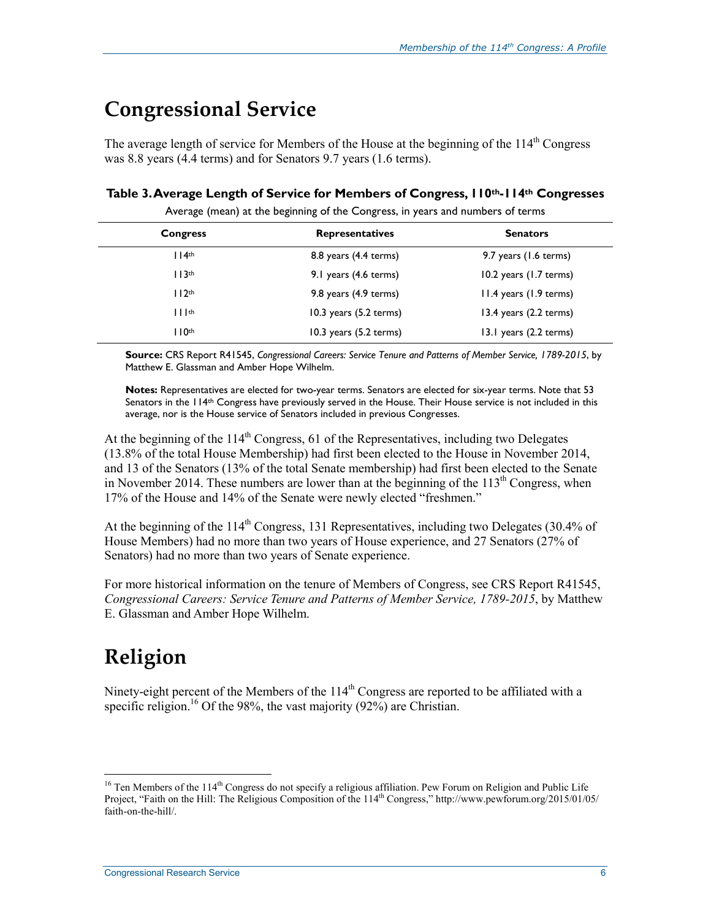## **Congressional Service**

The average length of service for Members of the House at the beginning of the  $114<sup>th</sup>$  Congress was 8.8 years (4.4 terms) and for Senators 9.7 years (1.6 terms).

#### **Table 3. Average Length of Service for Members of Congress, 110th-114th Congresses**

| <b>Congress</b>   | <b>Representatives</b>     | <b>Senators</b>                  |
|-------------------|----------------------------|----------------------------------|
| 114 <sup>th</sup> | $8.8$ years $(4.4$ terms)  | 9.7 years (1.6 terms)            |
| 113 <sup>th</sup> | 9.1 years (4.6 terms)      | $10.2$ years $(1.7$ terms)       |
| 112 <sup>th</sup> | 9.8 years (4.9 terms)      | 11.4 years (1.9 terms)           |
| $    $ th         | $10.3$ years $(5.2$ terms) | $13.4$ years $(2.2$ terms)       |
| $110$ th          | $10.3$ years $(5.2$ terms) | 13.1 years $(2.2 \text{ terms})$ |

Average (mean) at the beginning of the Congress, in years and numbers of terms

**Source:** CRS Report R41545, *Congressional Careers: Service Tenure and Patterns of Member Service, 1789-2015*, by Matthew E. Glassman and Amber Hope Wilhelm.

**Notes:** Representatives are elected for two-year terms. Senators are elected for six-year terms. Note that 53 Senators in the 114<sup>th</sup> Congress have previously served in the House. Their House service is not included in this average, nor is the House service of Senators included in previous Congresses.

At the beginning of the  $114<sup>th</sup>$  Congress, 61 of the Representatives, including two Delegates (13.8% of the total House Membership) had first been elected to the House in November 2014, and 13 of the Senators (13% of the total Senate membership) had first been elected to the Senate in November 2014. These numbers are lower than at the beginning of the  $113<sup>th</sup>$  Congress, when 17% of the House and 14% of the Senate were newly elected "freshmen."

At the beginning of the  $114<sup>th</sup>$  Congress, 131 Representatives, including two Delegates (30.4% of House Members) had no more than two years of House experience, and 27 Senators (27% of Senators) had no more than two years of Senate experience.

For more historical information on the tenure of Members of Congress, see CRS Report R41545, *Congressional Careers: Service Tenure and Patterns of Member Service, 1789-2015*, by Matthew E. Glassman and Amber Hope Wilhelm.

# **Religion**

1

Ninety-eight percent of the Members of the 114<sup>th</sup> Congress are reported to be affiliated with a specific religion.<sup>16</sup> Of the 98%, the vast majority (92%) are Christian.

<sup>&</sup>lt;sup>16</sup> Ten Members of the 114<sup>th</sup> Congress do not specify a religious affiliation. Pew Forum on Religion and Public Life Project, "Faith on the Hill: The Religious Composition of the 114th Congress," http://www.pewforum.org/2015/01/05/ faith-on-the-hill/.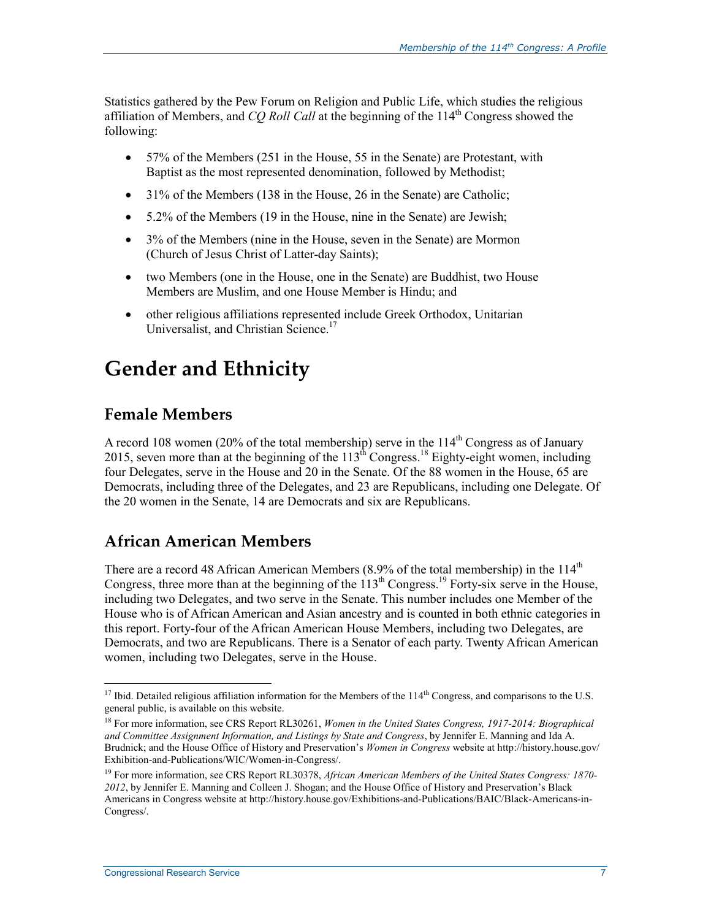Statistics gathered by the Pew Forum on Religion and Public Life, which studies the religious affiliation of Members, and *CO Roll Call* at the beginning of the 114<sup>th</sup> Congress showed the following:

- 57% of the Members (251 in the House, 55 in the Senate) are Protestant, with Baptist as the most represented denomination, followed by Methodist;
- 31% of the Members (138 in the House, 26 in the Senate) are Catholic;
- 5.2% of the Members (19 in the House, nine in the Senate) are Jewish;
- 3% of the Members (nine in the House, seven in the Senate) are Mormon (Church of Jesus Christ of Latter-day Saints);
- two Members (one in the House, one in the Senate) are Buddhist, two House Members are Muslim, and one House Member is Hindu; and
- other religious affiliations represented include Greek Orthodox, Unitarian Universalist, and Christian Science.<sup>17</sup>

## **Gender and Ethnicity**

### **Female Members**

A record 108 women (20% of the total membership) serve in the  $114<sup>th</sup>$  Congress as of January 2015, seven more than at the beginning of the  $113^{th}$  Congress.<sup>18</sup> Eighty-eight women, including four Delegates, serve in the House and 20 in the Senate. Of the 88 women in the House, 65 are Democrats, including three of the Delegates, and 23 are Republicans, including one Delegate. Of the 20 women in the Senate, 14 are Democrats and six are Republicans.

### **African American Members**

There are a record 48 African American Members (8.9% of the total membership) in the  $114<sup>th</sup>$ Congress, three more than at the beginning of the  $113<sup>th</sup>$  Congress.<sup>19</sup> Forty-six serve in the House, including two Delegates, and two serve in the Senate. This number includes one Member of the House who is of African American and Asian ancestry and is counted in both ethnic categories in this report. Forty-four of the African American House Members, including two Delegates, are Democrats, and two are Republicans. There is a Senator of each party. Twenty African American women, including two Delegates, serve in the House.

<sup>&</sup>lt;sup>17</sup> Ibid. Detailed religious affiliation information for the Members of the  $114<sup>th</sup>$  Congress, and comparisons to the U.S. general public, is available on this website.

<sup>18</sup> For more information, see CRS Report RL30261, *Women in the United States Congress, 1917-2014: Biographical and Committee Assignment Information, and Listings by State and Congress*, by Jennifer E. Manning and Ida A. Brudnick; and the House Office of History and Preservation's *Women in Congress* website at http://history.house.gov/ Exhibition-and-Publications/WIC/Women-in-Congress/.

<sup>19</sup> For more information, see CRS Report RL30378, *African American Members of the United States Congress: 1870- 2012*, by Jennifer E. Manning and Colleen J. Shogan; and the House Office of History and Preservation's Black Americans in Congress website at http://history.house.gov/Exhibitions-and-Publications/BAIC/Black-Americans-in-Congress/.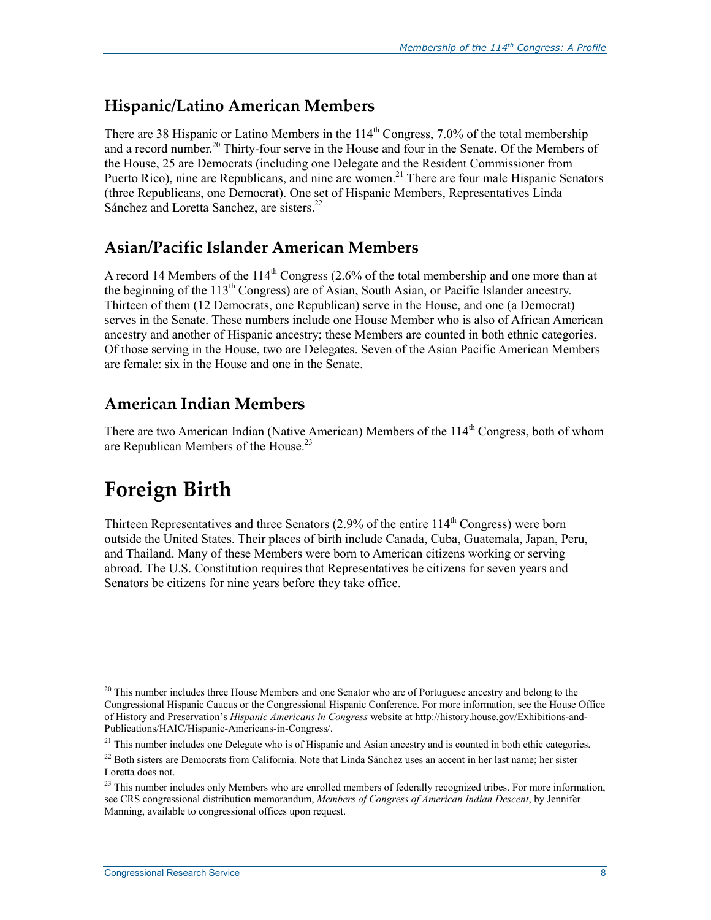### **Hispanic/Latino American Members**

There are 38 Hispanic or Latino Members in the  $114<sup>th</sup>$  Congress, 7.0% of the total membership and a record number.<sup>20</sup> Thirty-four serve in the House and four in the Senate. Of the Members of the House, 25 are Democrats (including one Delegate and the Resident Commissioner from Puerto Rico), nine are Republicans, and nine are women.<sup>21</sup> There are four male Hispanic Senators (three Republicans, one Democrat). One set of Hispanic Members, Representatives Linda Sánchez and Loretta Sanchez, are sisters.<sup>22</sup>

### **Asian/Pacific Islander American Members**

A record 14 Members of the  $114<sup>th</sup>$  Congress (2.6% of the total membership and one more than at the beginning of the 113<sup>th</sup> Congress) are of Asian, South Asian, or Pacific Islander ancestry. Thirteen of them (12 Democrats, one Republican) serve in the House, and one (a Democrat) serves in the Senate. These numbers include one House Member who is also of African American ancestry and another of Hispanic ancestry; these Members are counted in both ethnic categories. Of those serving in the House, two are Delegates. Seven of the Asian Pacific American Members are female: six in the House and one in the Senate.

## **American Indian Members**

There are two American Indian (Native American) Members of the 114<sup>th</sup> Congress, both of whom are Republican Members of the House.<sup>23</sup>

# **Foreign Birth**

1

Thirteen Representatives and three Senators  $(2.9\%$  of the entire  $114<sup>th</sup>$  Congress) were born outside the United States. Their places of birth include Canada, Cuba, Guatemala, Japan, Peru, and Thailand. Many of these Members were born to American citizens working or serving abroad. The U.S. Constitution requires that Representatives be citizens for seven years and Senators be citizens for nine years before they take office.

 $20$  This number includes three House Members and one Senator who are of Portuguese ancestry and belong to the Congressional Hispanic Caucus or the Congressional Hispanic Conference. For more information, see the House Office of History and Preservation's *Hispanic Americans in Congress* website at http://history.house.gov/Exhibitions-and-Publications/HAIC/Hispanic-Americans-in-Congress/.

 $21$  This number includes one Delegate who is of Hispanic and Asian ancestry and is counted in both ethic categories.

 $22$  Both sisters are Democrats from California. Note that Linda Sánchez uses an accent in her last name; her sister Loretta does not.

<sup>&</sup>lt;sup>23</sup> This number includes only Members who are enrolled members of federally recognized tribes. For more information, see CRS congressional distribution memorandum, *Members of Congress of American Indian Descent*, by Jennifer Manning, available to congressional offices upon request.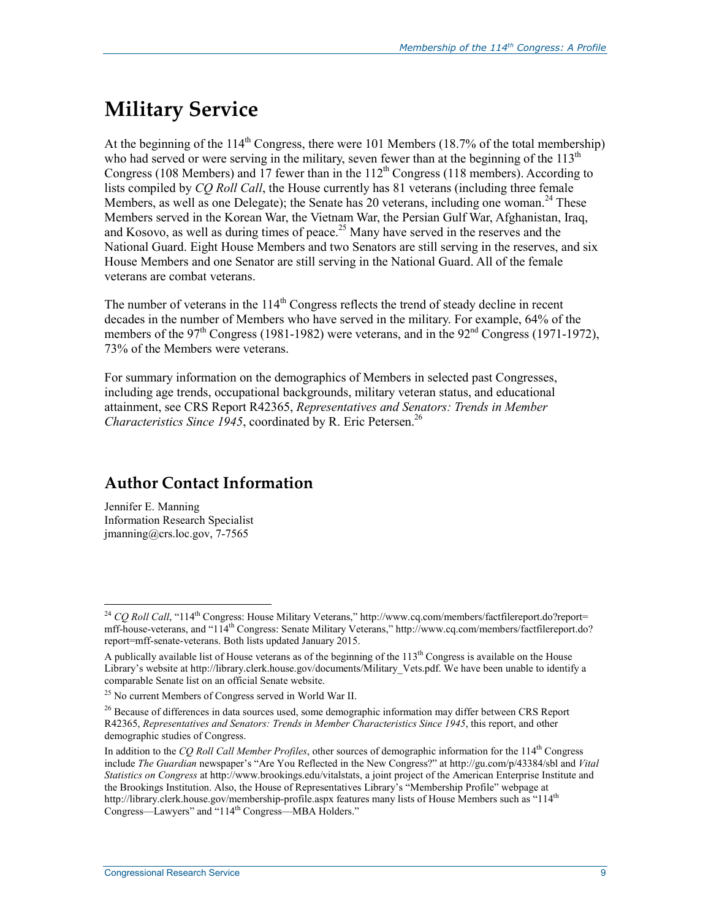# **Military Service**

At the beginning of the  $114<sup>th</sup>$  Congress, there were 101 Members (18.7% of the total membership) who had served or were serving in the military, seven fewer than at the beginning of the  $113<sup>th</sup>$ Congress (108 Members) and 17 fewer than in the  $112<sup>th</sup>$  Congress (118 members). According to lists compiled by *CQ Roll Call*, the House currently has 81 veterans (including three female Members, as well as one Delegate); the Senate has 20 veterans, including one woman.<sup>24</sup> These Members served in the Korean War, the Vietnam War, the Persian Gulf War, Afghanistan, Iraq, and Kosovo, as well as during times of peace.<sup>25</sup> Many have served in the reserves and the National Guard. Eight House Members and two Senators are still serving in the reserves, and six House Members and one Senator are still serving in the National Guard. All of the female veterans are combat veterans.

The number of veterans in the  $114<sup>th</sup>$  Congress reflects the trend of steady decline in recent decades in the number of Members who have served in the military. For example, 64% of the members of the  $97<sup>th</sup>$  Congress (1981-1982) were veterans, and in the  $92<sup>nd</sup>$  Congress (1971-1972), 73% of the Members were veterans.

For summary information on the demographics of Members in selected past Congresses, including age trends, occupational backgrounds, military veteran status, and educational attainment, see CRS Report R42365, *Representatives and Senators: Trends in Member Characteristics Since 1945*, coordinated by R. Eric Petersen.<sup>26</sup>

### **Author Contact Information**

Jennifer E. Manning Information Research Specialist  $\text{imanning}(\widehat{a})$ crs.loc.gov, 7-7565

<u>.</u>

<sup>&</sup>lt;sup>24</sup> *CQ Roll Call*, "114<sup>th</sup> Congress: House Military Veterans," http://www.cq.com/members/factfilereport.do?report= mff-house-veterans, and "114th Congress: Senate Military Veterans," http://www.cq.com/members/factfilereport.do? report=mff-senate-veterans. Both lists updated January 2015.

A publically available list of House veterans as of the beginning of the 113<sup>th</sup> Congress is available on the House Library's website at http://library.clerk.house.gov/documents/Military\_Vets.pdf. We have been unable to identify a comparable Senate list on an official Senate website.

<sup>25</sup> No current Members of Congress served in World War II.

 $^{26}$  Because of differences in data sources used, some demographic information may differ between CRS Report R42365, *Representatives and Senators: Trends in Member Characteristics Since 1945*, this report, and other demographic studies of Congress.

In addition to the *CQ Roll Call Member Profiles*, other sources of demographic information for the 114th Congress include *The Guardian* newspaper's "Are You Reflected in the New Congress?" at http://gu.com/p/43384/sbl and *Vital Statistics on Congress* at http://www.brookings.edu/vitalstats, a joint project of the American Enterprise Institute and the Brookings Institution. Also, the House of Representatives Library's "Membership Profile" webpage at http://library.clerk.house.gov/membership-profile.aspx features many lists of House Members such as "114th Congress—Lawyers" and "114<sup>th</sup> Congress—MBA Holders."